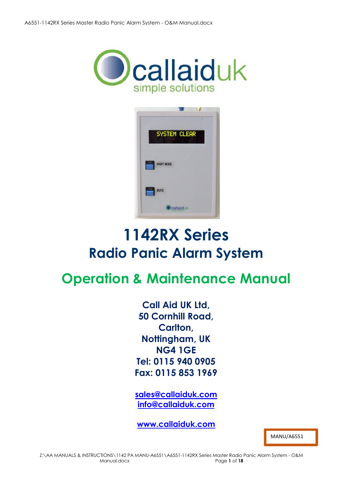



# **1142RX Series Radio Panic Alarm System**

# **Operation & Maintenance Manual**

**Call Aid UK Ltd, 50 Cornhill Road, Carlton, Nottingham, UK NG4 1GE Tel: 0115 940 0905 Fax: 0115 853 1969**

**[sales@callaiduk.com](mailto:sales@callaiduk.com) [info@callaiduk.com](mailto:info@callaiduk.com)** 

**[www.callaiduk.com](http://www.callaiduk.com/)**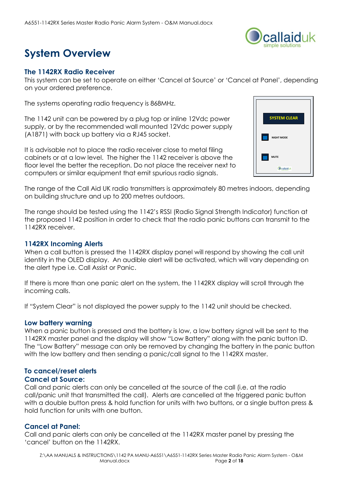

# **System Overview**

#### **The 1142RX Radio Receiver**

This system can be set to operate on either 'Cancel at Source' or 'Cancel at Panel', depending on your ordered preference.

The systems operating radio frequency is 868MHz.

The 1142 unit can be powered by a plug top or inline 12Vdc power supply, or by the recommended wall mounted 12Vdc power supply (A1871) with back up battery via a RJ45 socket.

It is advisable not to place the radio receiver close to metal filing cabinets or at a low level. The higher the 1142 receiver is above the floor level the better the reception. Do not place the receiver next to computers or similar equipment that emit spurious radio signals.



The range of the Call Aid UK radio transmitters is approximately 80 metres indoors, depending on building structure and up to 200 metres outdoors.

The range should be tested using the 1142's RSSI (Radio Signal Strength Indicator) function at the proposed 1142 position in order to check that the radio panic buttons can transmit to the 1142RX receiver.

#### **1142RX Incoming Alerts**

When a call button is pressed the 1142RX display panel will respond by showing the call unit identity in the OLED display. An audible alert will be activated, which will vary depending on the alert type i.e. Call Assist or Panic.

If there is more than one panic alert on the system, the 1142RX display will scroll through the incoming calls.

If "System Clear" is not displayed the power supply to the 1142 unit should be checked.

### **Low battery warning**

When a panic button is pressed and the battery is low, a low battery signal will be sent to the 1142RX master panel and the display will show "Low Battery" along with the panic button ID. The "Low Battery" message can only be removed by changing the battery in the panic button with the low battery and then sending a panic/call signal to the 1142RX master.

### **To cancel/reset alerts**

#### **Cancel at Source:**

Call and panic alerts can only be cancelled at the source of the call (i.e. at the radio call/panic unit that transmitted the call). Alerts are cancelled at the triggered panic button with a double button press & hold function for units with two buttons, or a single button press & hold function for units with one button.

### **Cancel at Panel:**

Call and panic alerts can only be cancelled at the 1142RX master panel by pressing the 'cancel' button on the 1142RX.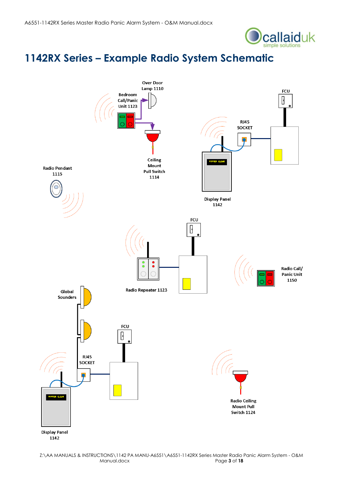

### **1142RX Series – Example Radio System Schematic**

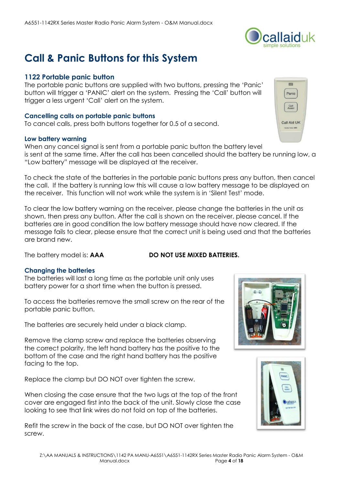# **Call & Panic Buttons for this System**

### **1122 Portable panic button**

The portable panic buttons are supplied with two buttons, pressing the 'Panic' button will trigger a 'PANIC' alert on the system. Pressing the 'Call' button will trigger a less urgent 'Call' alert on the system.

#### **Cancelling calls on portable panic buttons**

To cancel calls, press both buttons together for 0.5 of a second.

#### **Low battery warning**

When any cancel signal is sent from a portable panic button the battery level is sent at the same time. After the call has been cancelled should the battery be running low, a "Low battery" message will be displayed at the receiver.

To check the state of the batteries in the portable panic buttons press any button, then cancel the call. If the battery is running low this will cause a low battery message to be displayed on the receiver. This function will not work while the system is in 'Silent Test' mode.

To clear the low battery warning on the receiver, please change the batteries in the unit as shown, then press any button. After the call is shown on the receiver, please cancel. If the batteries are in good condition the low battery message should have now cleared. If the message fails to clear, please ensure that the correct unit is being used and that the batteries are brand new.

The battery model is: **AAA DO NOT USE MIXED BATTERIES.** 

### **Changing the batteries**

The batteries will last a long time as the portable unit only uses battery power for a short time when the button is pressed.

To access the batteries remove the small screw on the rear of the portable panic button.

The batteries are securely held under a black clamp.

Remove the clamp screw and replace the batteries observing the correct polarity, the left hand battery has the positive to the bottom of the case and the right hand battery has the positive facing to the top.

Replace the clamp but DO NOT over tighten the screw.

When closing the case ensure that the two lugs at the top of the front cover are engaged first into the back of the unit. Slowly close the case looking to see that link wires do not fold on top of the batteries.

Refit the screw in the back of the case, but DO NOT over tighten the screw.







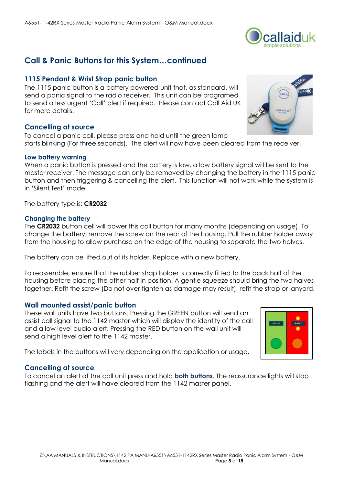### **Call & Panic Buttons for this System…continued**

### **1115 Pendant & Wrist Strap panic button**

The 1115 panic button is a battery powered unit that, as standard, will send a panic signal to the radio receiver. This unit can be programed to send a less urgent 'Call' alert if required. Please contact Call Aid UK for more details.

### **Cancelling at source**

To cancel a panic call, please press and hold until the green lamp starts blinking (For three seconds). The alert will now have been cleared from the receiver.

#### **Low battery warning**

When a panic button is pressed and the battery is low, a low battery signal will be sent to the master receiver. The message can only be removed by changing the battery in the 1115 panic button and then triggering & cancelling the alert. This function will not work while the system is in 'Silent Test' mode.

The battery type is: **CR2032**

#### **Changing the battery**

The **CR2032** button cell will power this call button for many months (depending on usage). To change the battery, remove the screw on the rear of the housing. Pull the rubber holder away from the housing to allow purchase on the edge of the housing to separate the two halves.

The battery can be lifted out of its holder. Replace with a new battery.

To reassemble, ensure that the rubber strap holder is correctly fitted to the back half of the housing before placing the other half in position. A gentle squeeze should bring the two halves together. Refit the screw (Do not over tighten as damage may result), refit the strap or lanyard.

#### **Wall mounted assist/panic button**

These wall units have two buttons. Pressing the GREEN button will send an assist call signal to the 1142 master which will display the identity of the call and a low level audio alert. Pressing the RED button on the wall unit will send a high level alert to the 1142 master.

The labels in the buttons will vary depending on the application or usage.

#### **Cancelling at source**

To cancel an alert at the call unit press and hold **both buttons**. The reassurance lights will stop flashing and the alert will have cleared from the 1142 master panel.





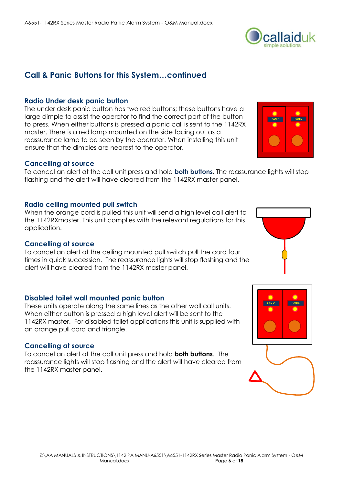# **Call & Panic Buttons for this System…continued**

### **Radio Under desk panic button**

The under desk panic button has two red buttons; these buttons have a large dimple to assist the operator to find the correct part of the button to press. When either buttons is pressed a panic call is sent to the 1142RX master. There is a red lamp mounted on the side facing out as a reassurance lamp to be seen by the operator. When installing this unit ensure that the dimples are nearest to the operator.

### **Cancelling at source**

To cancel an alert at the call unit press and hold **both buttons**. The reassurance lights will stop flashing and the alert will have cleared from the 1142RX master panel.

### **Radio ceiling mounted pull switch**

When the orange cord is pulled this unit will send a high level call alert to the 1142RXmaster. This unit complies with the relevant regulations for this application.

### **Cancelling at source**

To cancel an alert at the ceiling mounted pull switch pull the cord four times in quick succession. The reassurance lights will stop flashing and the alert will have cleared from the 1142RX master panel.

### **Disabled toilet wall mounted panic button**

These units operate along the same lines as the other wall call units. When either button is pressed a high level alert will be sent to the 1142RX master. For disabled toilet applications this unit is supplied with an orange pull cord and triangle.

### **Cancelling at source**

To cancel an alert at the call unit press and hold **both buttons**. The reassurance lights will stop flashing and the alert will have cleared from the 1142RX master panel.







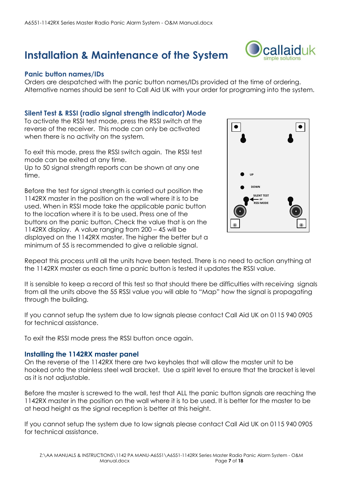### **Installation & Maintenance of the System**

### **Panic button names/IDs**

Orders are despatched with the panic button names/IDs provided at the time of ordering. Alternative names should be sent to Call Aid UK with your order for programing into the system.

### **Silent Test & RSSI (radio signal strength indicator) Mode**

To activate the RSSI test mode, press the RSSI switch at the reverse of the receiver. This mode can only be activated when there is no activity on the system.

To exit this mode, press the RSSI switch again. The RSSI test mode can be exited at any time. Up to 50 signal strength reports can be shown at any one time.

Before the test for signal strength is carried out position the 1142RX master in the position on the wall where it is to be used. When in RSSI mode take the applicable panic button to the location where it is to be used. Press one of the buttons on the panic button. Check the value that is on the 1142RX display. A value ranging from 200 – 45 will be displayed on the 1142RX master. The higher the better but a minimum of 55 is recommended to give a reliable signal.



Repeat this process until all the units have been tested. There is no need to action anything at the 1142RX master as each time a panic button is tested it updates the RSSI value.

It is sensible to keep a record of this test so that should there be difficulties with receiving signals from all the units above the 55 RSSI value you will able to "Map" how the signal is propagating through the building.

If you cannot setup the system due to low signals please contact Call Aid UK on 0115 940 0905 for technical assistance.

To exit the RSSI mode press the RSSI button once again.

#### **Installing the 1142RX master panel**

On the reverse of the 1142RX there are two keyholes that will allow the master unit to be hooked onto the stainless steel wall bracket. Use a spirit level to ensure that the bracket is level as it is not adjustable.

Before the master is screwed to the wall, test that ALL the panic button signals are reaching the 1142RX master in the position on the wall where it is to be used. It is better for the master to be at head height as the signal reception is better at this height.

If you cannot setup the system due to low signals please contact Call Aid UK on 0115 940 0905 for technical assistance.

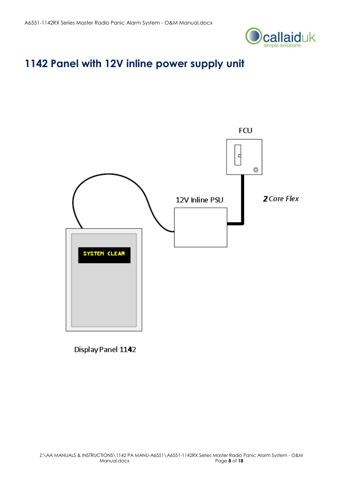

### **1142 Panel with 12V inline power supply unit**



Display Panel 1142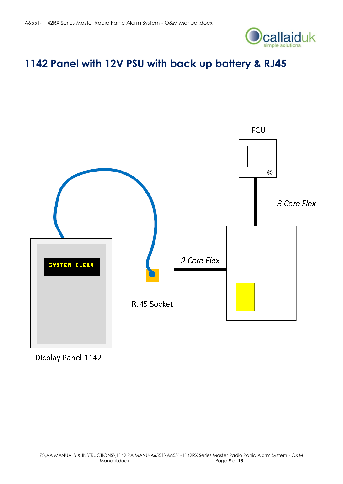

## **1142 Panel with 12V PSU with back up battery & RJ45**



Display Panel 1142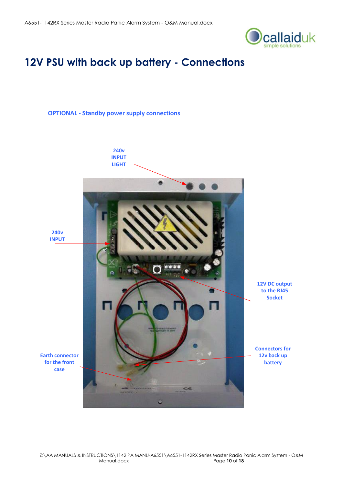

### **12V PSU with back up battery - Connections**

#### **OPTIONAL - Standby power supply connections**

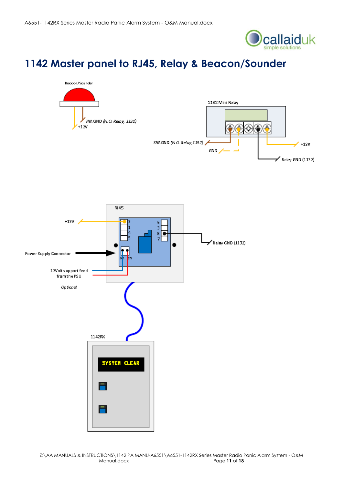

# **1142 Master panel to RJ45, Relay & Beacon/Sounder**



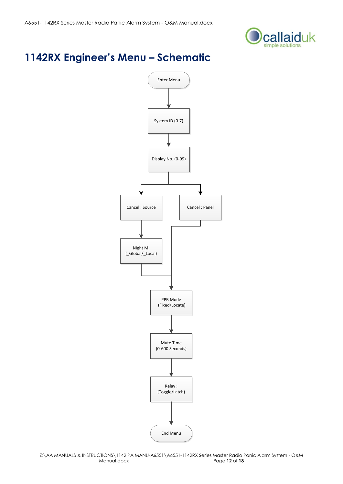

# **1142RX Engineer's Menu – Schematic**

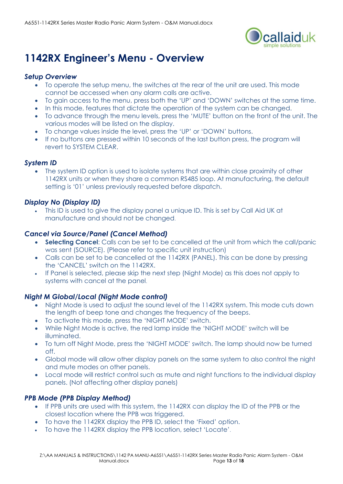

# **1142RX Engineer's Menu - Overview**

### *Setup Overview*

- To operate the setup menu, the switches at the rear of the unit are used. This mode cannot be accessed when any alarm calls are active.
- To gain access to the menu, press both the 'UP' and 'DOWN' switches at the same time.
- In this mode, features that dictate the operation of the system can be changed.
- To advance through the menu levels, press the 'MUTE' button on the front of the unit. The various modes will be listed on the display.
- To change values inside the level, press the 'UP' or 'DOWN' buttons.
- If no buttons are pressed within 10 seconds of the last button press, the program will revert to SYSTEM CLEAR.

### *System ID*

 The system ID option is used to isolate systems that are within close proximity of other 1142RX units or when they share a common RS485 loop. At manufacturing, the default setting is '01' unless previously requested before dispatch.

### *Display No (Display ID)*

 This ID is used to give the display panel a unique ID. This is set by Call Aid UK at manufacture and should not be changed.

### *Cancel via Source/Panel (Cancel Method)*

- **Selecting Cancel**: Calls can be set to be cancelled at the unit from which the call/panic was sent (SOURCE). (Please refer to specific unit instruction)
- Calls can be set to be cancelled at the 1142RX (PANEL). This can be done by pressing the 'CANCEL' switch on the 1142RX.
- If Panel is selected, please skip the next step (Night Mode) as this does not apply to systems with cancel at the panel.

### *Night M Global/Local (Night Mode control)*

- Night Mode is used to adjust the sound level of the 1142RX system. This mode cuts down the length of beep tone and changes the frequency of the beeps.
- To activate this mode, press the 'NIGHT MODE' switch.
- While Night Mode is active, the red lamp inside the 'NIGHT MODE' switch will be illuminated.
- To turn off Night Mode, press the 'NIGHT MODE' switch. The lamp should now be turned off.
- Global mode will allow other display panels on the same system to also control the night and mute modes on other panels.
- Local mode will restrict control such as mute and night functions to the individual display panels. (Not affecting other display panels)

### *PPB Mode (PPB Display Method)*

- If PPB units are used with this system, the 1142RX can display the ID of the PPB or the closest location where the PPB was triggered.
- To have the 1142RX display the PPB ID, select the 'Fixed' option.
- To have the 1142RX display the PPB location, select 'Locate'.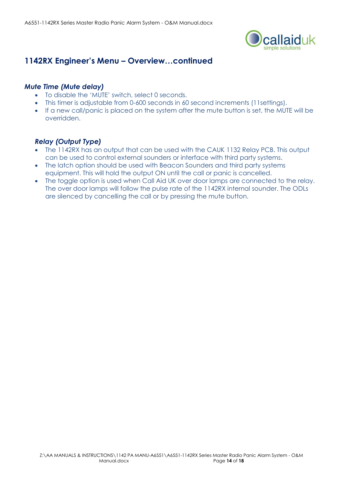

### **1142RX Engineer's Menu – Overview…continued**

### *Mute Time (Mute delay)*

- To disable the 'MUTE' switch, select 0 seconds.
- This timer is adjustable from 0-600 seconds in 60 second increments (11settings).
- If a new call/panic is placed on the system after the mute button is set, the MUTE will be overridden.

### *Relay (Output Type)*

- The 1142RX has an output that can be used with the CAUK 1132 Relay PCB. This output can be used to control external sounders or interface with third party systems.
- The latch option should be used with Beacon Sounders and third party systems equipment. This will hold the output ON until the call or panic is cancelled.
- The toggle option is used when Call Aid UK over door lamps are connected to the relay. The over door lamps will follow the pulse rate of the 1142RX internal sounder. The ODLs are silenced by cancelling the call or by pressing the mute button.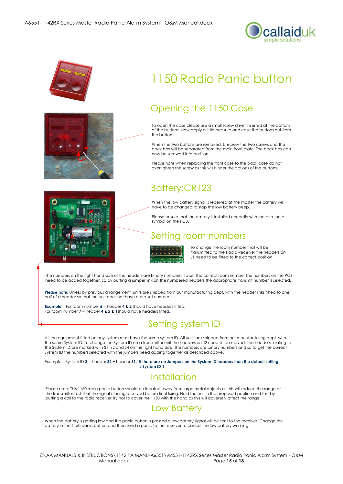



# 1150 Radio Panic button

### Opening the 1150 Case

To open the case please use a small screw driver inserted at the bottom of the buttons. Now apply a little pressure and ease the buttons out from the bottom.

When the two buttons are removed. Unscrew the two screws and the back box will be separated from the main front plate. The back box can now be screwed into position.

Please note when replacing the front case to the back case do not overtighten the screw as this will hinder the actions of the buttons.

### Battery:CR123

When the low battery signal is received at the master the battery will have to be changed to stop the low battery beep.

Please ensure that the battery is installed correctly with the + to the + symbol on the PCB.

### Setting room numbers



To change the room number that will be transmitted to the Radio Receiver the headers on J1 need to be fitted to the correct position.

The numbers on the right hand side of the headers are binary numbers. To set the correct room number the numbers on the PCB need to be added together. So by putting a jumper link on the numbered headers the appropriate transmit number is selected.

**Please note:** Unless by previous arrangement, units are shipped from our manufacturing dept. with the header links fitted to one half of a header so that the unit does not have a pre-set number.

**Example** For room number **6** = header **4 & 2** should have headers fitted**.** For room number **7** = header **4 & 2 & 1**should have headers fitted**.**

### Setting system ID

All the equipment fitted on any system must have the same system ID. All units are shipped from our manufacturing dept. with the same System ID. To change the System ID on a transmitter unit the headers on J2 need to be moved. The headers relating to the System ID are marked with S1, S2 and S4 on the right hand side. The numbers are binary numbers and so to get the correct System ID the numbers selected with the jumpers need adding together as described above.

Example: System ID 3 = header \$2 + header \$1. If there are no Jumpers on the System ID headers then the default setting **is System ID 1**

### **Installation**

Please note: This 1150 radio panic button should be located away from large metal objects as this will reduce the range of the transmitter.Test that the signal is being received before final fixing. Hold the unit in the proposed position and test by putting a call to the radio receiver.Try not to cover the 1150 with the hand as this will adversely affect the range

### Low Battery

When the battery is getting low and the panic button is pressed a low battery signal will be sent to the receiver. Change the battery in the 1150 panic button and then send a panic to the receiver to cancel the low battery warning.

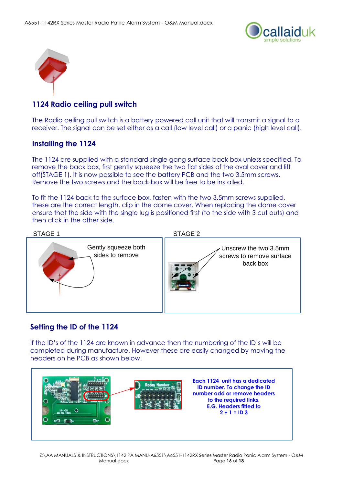



### **1124 Radio ceiling pull switch**

The Radio ceiling pull switch is a battery powered call unit that will transmit a signal to a receiver. The signal can be set either as a call (low level call) or a panic (high level call).

### **Installing the 1124**

The 1124 are supplied with a standard single gang surface back box unless specified. To remove the back box, first gently squeeze the two flat sides of the oval cover and lift off(STAGE 1). It is now possible to see the battery PCB and the two 3.5mm screws. Remove the two screws and the back box will be free to be installed.

To fit the 1124 back to the surface box, fasten with the two 3.5mm screws supplied, these are the correct length. clip in the dome cover. When replacing the dome cover ensure that the side with the single lug is positioned first (to the side with 3 cut outs) and then click in the other side.



### **Setting the ID of the 1124**

If the ID's of the 1124 are known in advance then the numbering of the ID's will be completed during manufacture. However these are easily changed by moving the headers on he PCB as shown below.

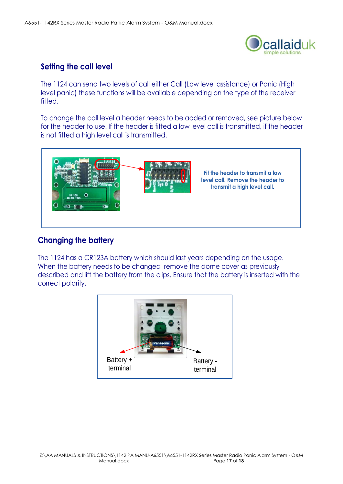

### **Setting the call level**

The 1124 can send two levels of call either Call (Low level assistance) or Panic (High level panic) these functions will be available depending on the type of the receiver fitted.

To change the call level a header needs to be added or removed, see picture below for the header to use. If the header is fitted a low level call is transmitted, if the header is not fitted a high level call is transmitted.



### **Changing the battery**

The 1124 has a CR123A battery which should last years depending on the usage. When the battery needs to be changed remove the dome cover as previously described and lift the battery from the clips. Ensure that the battery is inserted with the correct polarity.